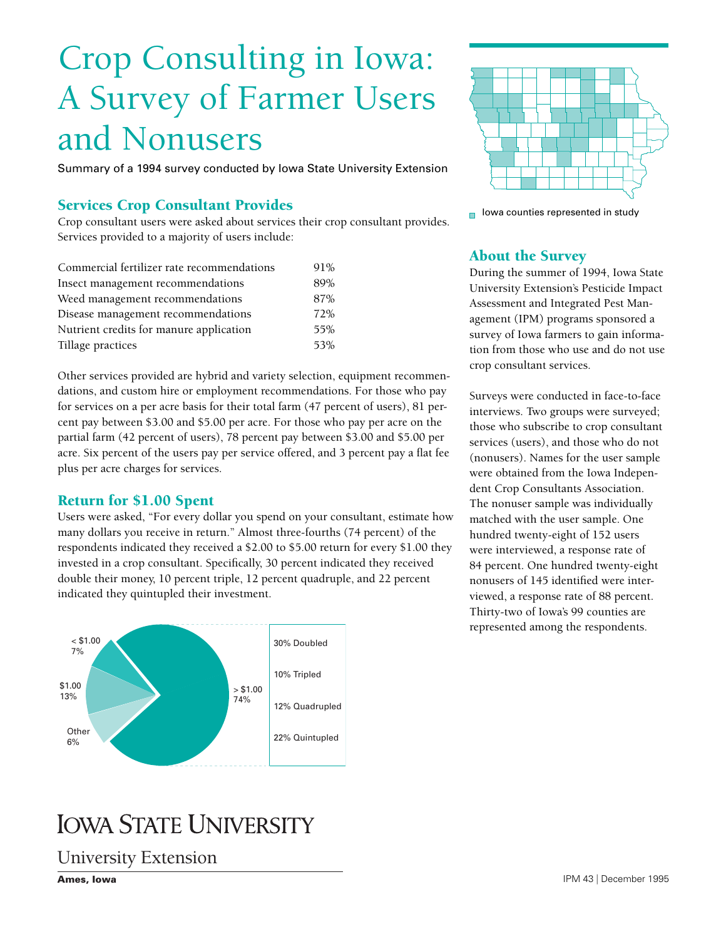# Crop Consulting in Iowa: A Survey of Farmer Users and Nonusers

Summary of a 1994 survey conducted by Iowa State University Extension

# Services Crop Consultant Provides

Crop consultant users were asked about services their crop consultant provides. Services provided to a majority of users include:

| Commercial fertilizer rate recommendations | 91% |
|--------------------------------------------|-----|
| Insect management recommendations          | 89% |
| Weed management recommendations            | 87% |
| Disease management recommendations         | 72% |
| Nutrient credits for manure application    | 55% |
| Tillage practices                          | 53% |

Other services provided are hybrid and variety selection, equipment recommendations, and custom hire or employment recommendations. For those who pay for services on a per acre basis for their total farm (47 percent of users), 81 percent pay between \$3.00 and \$5.00 per acre. For those who pay per acre on the partial farm (42 percent of users), 78 percent pay between \$3.00 and \$5.00 per acre. Six percent of the users pay per service offered, and 3 percent pay a flat fee plus per acre charges for services.

#### Return for \$1.00 Spent

Users were asked, "For every dollar you spend on your consultant, estimate how many dollars you receive in return." Almost three-fourths (74 percent) of the respondents indicated they received a \$2.00 to \$5.00 return for every \$1.00 they invested in a crop consultant. Specifically, 30 percent indicated they received double their money, 10 percent triple, 12 percent quadruple, and 22 percent indicated they quintupled their investment.





 $\blacksquare$  lowa counties represented in study

#### About the Survey

During the summer of 1994, Iowa State University Extension's Pesticide Impact Assessment and Integrated Pest Management (IPM) programs sponsored a survey of Iowa farmers to gain information from those who use and do not use crop consultant services.

Surveys were conducted in face-to-face interviews. Two groups were surveyed; those who subscribe to crop consultant services (users), and those who do not (nonusers). Names for the user sample were obtained from the Iowa Independent Crop Consultants Association. The nonuser sample was individually matched with the user sample. One hundred twenty-eight of 152 users were interviewed, a response rate of 84 percent. One hundred twenty-eight nonusers of 145 identified were interviewed, a response rate of 88 percent. Thirty-two of Iowa's 99 counties are represented among the respondents.

# **IOWA STATE UNIVERSITY**

[University Extension](http://www.extension.iastate.edu)

**Ames, Iowa**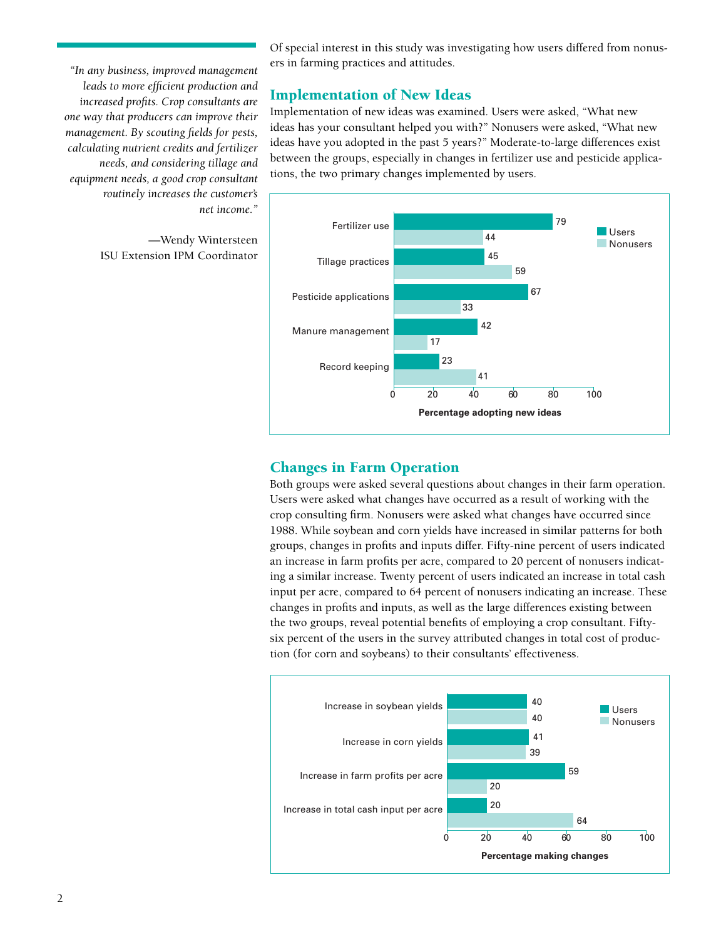*"In any business, improved management leads to more efficient production and increased profi ts. Crop consultants are one way that producers can improve their management. By scouting fields for pests, calculating nutrient credits and fertilizer needs, and considering tillage and equipment needs, a good crop consultant routinely increases the customer's net income."* 

> —Wendy Wintersteen ISU Extension IPM Coordinator

Of special interest in this study was investigating how users differed from nonusers in farming practices and attitudes.

## Implementation of New Ideas

Implementation of new ideas was examined. Users were asked, "What new ideas has your consultant helped you with?" Nonusers were asked, "What new ideas have you adopted in the past 5 years?" Moderate-to-large differences exist between the groups, especially in changes in fertilizer use and pesticide applications, the two primary changes implemented by users.



## Changes in Farm Operation

Both groups were asked several questions about changes in their farm operation. Users were asked what changes have occurred as a result of working with the crop consulting firm. Nonusers were asked what changes have occurred since 1988. While soybean and corn yields have increased in similar patterns for both groups, changes in profits and inputs differ. Fifty-nine percent of users indicated an increase in farm profits per acre, compared to 20 percent of nonusers indicating a similar increase. Twenty percent of users indicated an increase in total cash input per acre, compared to 64 percent of nonusers indicating an increase. These changes in profits and inputs, as well as the large differences existing between the two groups, reveal potential benefits of employing a crop consultant. Fiftysix percent of the users in the survey attributed changes in total cost of production (for corn and soybeans) to their consultants' effectiveness.

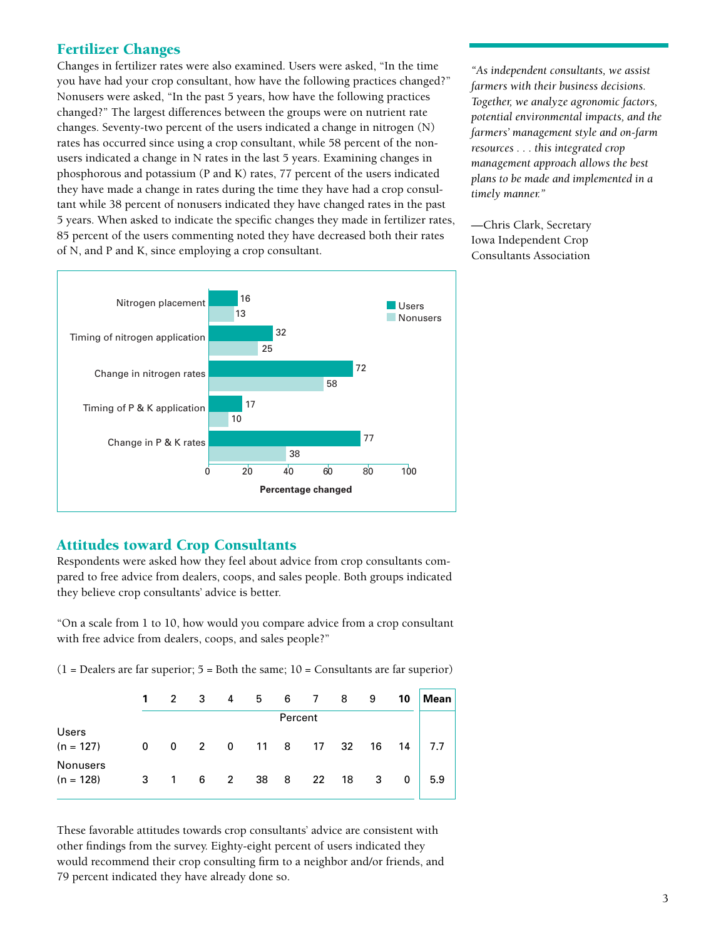## Fertilizer Changes

Changes in fertilizer rates were also examined. Users were asked, "In the time you have had your crop consultant, how have the following practices changed?" Nonusers were asked, "In the past 5 years, how have the following practices changed?" The largest differences between the groups were on nutrient rate changes. Seventy-two percent of the users indicated a change in nitrogen (N) rates has occurred since using a crop consultant, while 58 percent of the nonusers indicated a change in N rates in the last 5 years. Examining changes in phosphorous and potassium (P and K) rates, 77 percent of the users indicated they have made a change in rates during the time they have had a crop consultant while 38 percent of nonusers indicated they have changed rates in the past 5 years. When asked to indicate the specific changes they made in fertilizer rates, 85 percent of the users commenting noted they have decreased both their rates of N, and P and K, since employing a crop consultant.



—Chris Clark, Secretary Iowa Independent Crop Consultants Association



## Attitudes toward Crop Consultants

Respondents were asked how they feel about advice from crop consultants compared to free advice from dealers, coops, and sales people. Both groups indicated they believe crop consultants' advice is better.

"On a scale from 1 to 10, how would you compare advice from a crop consultant with free advice from dealers, coops, and sales people?"

| $(1 =$ Dealers are far superior; $5 =$ Both the same; $10 =$ Consultants are far superior) |  |  |  |  |
|--------------------------------------------------------------------------------------------|--|--|--|--|
|--------------------------------------------------------------------------------------------|--|--|--|--|

|                                | $\mathbf{1}$ |              | 2 3 |             |            |  | 4 5 6 7 | 8       | -9 | 10           | <b>Mean</b> |
|--------------------------------|--------------|--------------|-----|-------------|------------|--|---------|---------|----|--------------|-------------|
|                                | Percent      |              |     |             |            |  |         |         |    |              |             |
| <b>Users</b><br>$(n = 127)$    | 0            |              |     |             | 0 2 0 11 8 |  |         | 17 32   | 16 | 14           | 7.7         |
| <b>Nonusers</b><br>$(n = 128)$ | 3            | $\mathbf{1}$ | 6   | $2^{\circ}$ | 38 8       |  |         | 22 18 3 |    | $\mathbf{0}$ | 5.9         |

These favorable attitudes towards crop consultants' advice are consistent with other findings from the survey. Eighty-eight percent of users indicated they would recommend their crop consulting firm to a neighbor and/or friends, and 79 percent indicated they have already done so.